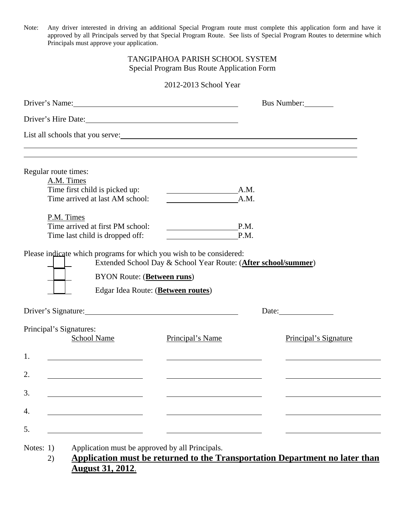Note: Any driver interested in driving an additional Special Program route must complete this application form and have it approved by all Principals served by that Special Program Route. See lists of Special Program Routes to determine which Principals must approve your application.

## TANGIPAHOA PARISH SCHOOL SYSTEM Special Program Bus Route Application Form

#### 2012-2013 School Year

| Driver's Name: 1988                           |                                                           | Bus Number:           |
|-----------------------------------------------|-----------------------------------------------------------|-----------------------|
| Driver's Hire Date:                           |                                                           |                       |
|                                               |                                                           |                       |
|                                               |                                                           |                       |
| Regular route times:                          |                                                           |                       |
| A.M. Times<br>Time first child is picked up:  | A.M.                                                      |                       |
| Time arrived at last AM school:               | <u> 1980 - Johann Barbara, martxa alemaniar a</u><br>A.M. |                       |
| P.M. Times                                    |                                                           |                       |
| Time arrived at first PM school:              | P.M.<br>the control of the control of the control of      |                       |
| Time last child is dropped off:               | P.M.                                                      |                       |
| Driver's Signature:                           | Edgar Idea Route: (Between routes)                        | Date:                 |
|                                               |                                                           |                       |
| Principal's Signatures:<br><b>School Name</b> | Principal's Name                                          | Principal's Signature |
| 1.                                            |                                                           |                       |
| 2.                                            |                                                           |                       |
| 3.                                            |                                                           |                       |
| 4.                                            |                                                           |                       |
|                                               |                                                           |                       |
| 5.                                            |                                                           |                       |

2) **Application must be returned to the Transportation Department no later than August 31, 2012**.